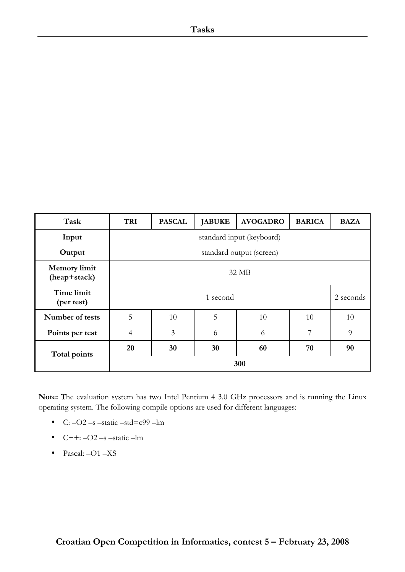| Task                                | <b>TRI</b>                | <b>PASCAL</b> | <b>JABUKE</b> | <b>AVOGADRO</b> | <b>BARICA</b> | <b>BAZA</b> |
|-------------------------------------|---------------------------|---------------|---------------|-----------------|---------------|-------------|
| Input                               | standard input (keyboard) |               |               |                 |               |             |
| Output                              | standard output (screen)  |               |               |                 |               |             |
| <b>Memory</b> limit<br>(heap+stack) | 32 MB                     |               |               |                 |               |             |
| Time limit<br>(per test)            |                           |               | 1 second      |                 |               | 2 seconds   |
| Number of tests                     | 5                         | 10            | 5             | 10              | 10            | 10          |
| Points per test                     | $\overline{4}$            | 3             | 6             | 6               | 7             | 9           |
| Total points                        | 20                        | 30            | 30            | 60              | 70            | 90          |
|                                     |                           |               |               | 300             |               |             |

Note: The evaluation system has two Intel Pentium 4 3.0 GHz processors and is running the Linux operating system. The following compile options are used for different languages:

- C:  $-O2$  –s –static –std=c99 –lm
- $\bullet$  C++:  $-O2$  –s –static –lm
- Pascal: -O1 -XS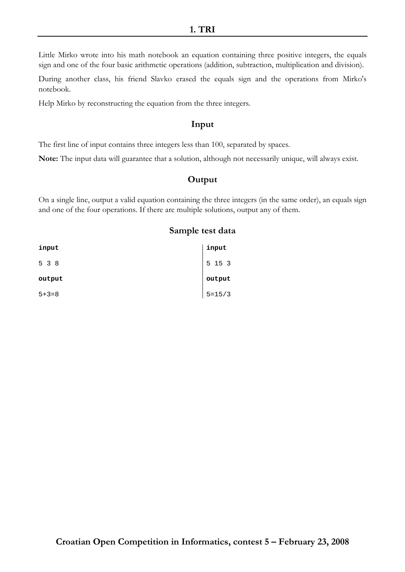#### 1. TRI

Little Mirko wrote into his math notebook an equation containing three positive integers, the equals sign and one of the four basic arithmetic operations (addition, subtraction, multiplication and division).

During another class, his friend Slavko erased the equals sign and the operations from Mirko's notebook.

Help Mirko by reconstructing the equation from the three integers.

## Input

The first line of input contains three integers less than 100, separated by spaces.

Note: The input data will guarantee that a solution, although not necessarily unique, will always exist.

# **Output**

On a single line, output a valid equation containing the three integers (in the same order), an equals sign and one of the four operations. If there are multiple solutions, output any of them.

| input       | input      |
|-------------|------------|
| 5 3 8       | 5 15 3     |
| output      | output     |
| $5 + 3 = 8$ | $5 = 15/3$ |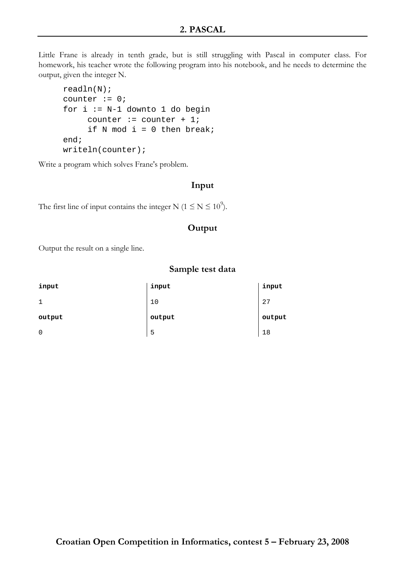Little Frane is already in tenth grade, but is still struggling with Pascal in computer class. For homework, his teacher wrote the following program into his notebook, and he needs to determine the output, given the integer N.

```
readln(N); 
counter := 0;for i := N-1 downto 1 do begin
     counter := counter +1;
     if N mod i = 0 then break;
end; 
writeln(counter);
```
Write a program which solves Frane's problem.

## Input

The first line of input contains the integer N ( $1 \le N \le 10^9$ ).

## **Output**

Output the result on a single line.

| input       | input  | input  |
|-------------|--------|--------|
| 1           | 10     | 27     |
| output      | output | output |
| $\mathbf 0$ | 5      | 18     |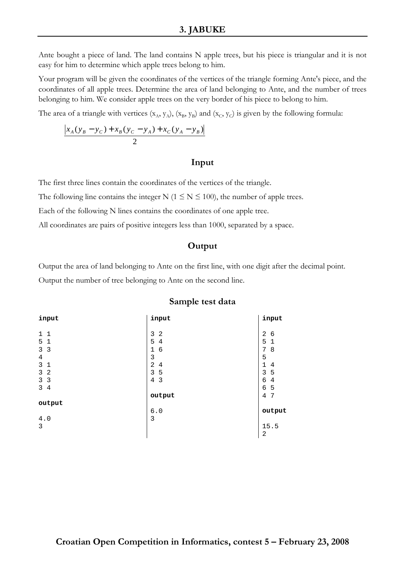Ante bought a piece of land. The land contains N apple trees, but his piece is triangular and it is not easy for him to determine which apple trees belong to him.

Your program will be given the coordinates of the vertices of the triangle forming Ante's piece, and the coordinates of all apple trees. Determine the area of land belonging to Ante, and the number of trees belonging to him. We consider apple trees on the very border of his piece to belong to him.

The area of a triangle with vertices  $(x_A, y_A)$ ,  $(x_B, y_B)$  and  $(x_C, y_C)$  is given by the following formula:

$$
\frac{\left|x_{A}(y_{B} - y_{C}) + x_{B}(y_{C} - y_{A}) + x_{C}(y_{A} - y_{B})\right|}{2}
$$

#### Input

The first three lines contain the coordinates of the vertices of the triangle.

The following line contains the integer N ( $1 \le N \le 100$ ), the number of apple trees.

Each of the following N lines contains the coordinates of one apple tree.

All coordinates are pairs of positive integers less than 1000, separated by a space.

# **Output**

Output the area of land belonging to Ante on the first line, with one digit after the decimal point. Output the number of tree belonging to Ante on the second line.

| input                        | input               | input                  |
|------------------------------|---------------------|------------------------|
| $\mathbf{1}$<br>$\mathbf{1}$ | 3<br>$\overline{2}$ | $\overline{2}$<br>6    |
| 5<br>$\mathbf{1}$            | 5<br>4              | 5<br>$\mathbf 1$       |
| 3<br>3                       | 1<br>6              | 8<br>7                 |
| $\overline{4}$               | 3                   | 5                      |
| $\mathsf{3}$<br>$\mathbf{1}$ | $\overline{2}$<br>4 | $\mathbf{1}$<br>4      |
| 3<br>2                       | 3<br>5              | 3<br>5                 |
| 3<br>3                       | $\overline{4}$<br>3 | 6<br>4                 |
| 3<br>4                       |                     | 6<br>5                 |
|                              | output              | 7<br>4                 |
| output                       |                     |                        |
|                              | 6.0                 | output                 |
| 4.0                          | 3                   |                        |
| 3                            |                     | 15.5<br>$\overline{2}$ |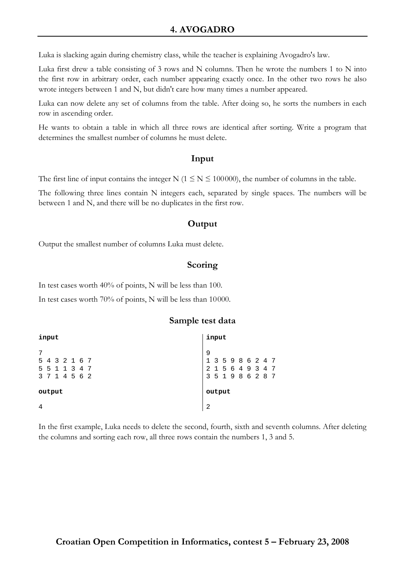Luka is slacking again during chemistry class, while the teacher is explaining Avogadro's law.

Luka first drew a table consisting of 3 rows and N columns. Then he wrote the numbers 1 to N into the first row in arbitrary order, each number appearing exactly once. In the other two rows he also wrote integers between 1 and N, but didn't care how many times a number appeared.

Luka can now delete any set of columns from the table. After doing so, he sorts the numbers in each row in ascending order.

He wants to obtain a table in which all three rows are identical after sorting. Write a program that determines the smallest number of columns he must delete.

#### Input

The first line of input contains the integer N ( $1 \le N \le 100000$ ), the number of columns in the table.

The following three lines contain N integers each, separated by single spaces. The numbers will be between 1 and N, and there will be no duplicates in the first row.

## **Output**

Output the smallest number of columns Luka must delete.

## Scoring

In test cases worth 40% of points, N will be less than 100.

In test cases worth 70% of points, N will be less than 10000.

#### Sample test data

| input                                           | input                                                                                                                                  |
|-------------------------------------------------|----------------------------------------------------------------------------------------------------------------------------------------|
| 5 4 3 2 1 6 7<br>5 5 1 1 3 4 7<br>3 7 1 4 5 6 2 | 9<br>$\begin{array}{cccccccc} 1 & 3 & 5 & 9 & 8 & 6 & 2 & 4 & 7 \\ 2 & 1 & 5 & 6 & 4 & 9 & 3 & 4 & 7 \end{array}$<br>3 5 1 9 8 6 2 8 7 |
| output                                          | output                                                                                                                                 |
|                                                 | $\overline{2}$                                                                                                                         |

In the first example, Luka needs to delete the second, fourth, sixth and seventh columns. After deleting the columns and sorting each row, all three rows contain the numbers 1, 3 and 5.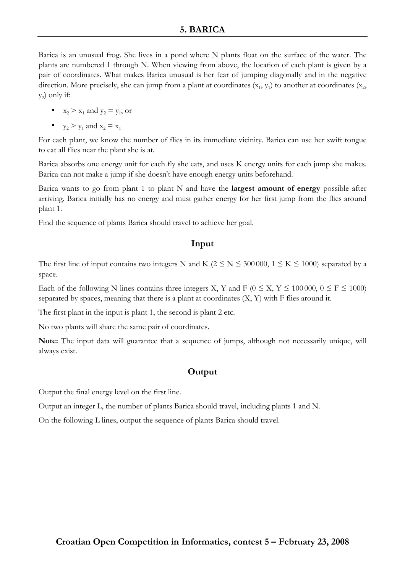# 5. BARICA

Barica is an unusual frog. She lives in a pond where N plants float on the surface of the water. The plants are numbered 1 through N. When viewing from above, the location of each plant is given by a pair of coordinates. What makes Barica unusual is her fear of jumping diagonally and in the negative direction. More precisely, she can jump from a plant at coordinates  $(x_1, y_1)$  to another at coordinates  $(x_2,$  $\mathbf{y}_2$ ) only if:

- $x_2 > x_1$  and  $y_2 = y_1$ , or
- $y_2 > y_1$  and  $x_2 = x_1$

For each plant, we know the number of flies in its immediate vicinity. Barica can use her swift tongue to eat all flies near the plant she is at.

Barica absorbs one energy unit for each fly she eats, and uses K energy units for each jump she makes. Barica can not make a jump if she doesn't have enough energy units beforehand.

Barica wants to go from plant 1 to plant N and have the largest amount of energy possible after arriving. Barica initially has no energy and must gather energy for her first jump from the flies around plant 1.

Find the sequence of plants Barica should travel to achieve her goal.

#### Input

The first line of input contains two integers N and K ( $2 \le N \le 300000$ ,  $1 \le K \le 1000$ ) separated by a space.

Each of the following N lines contains three integers X, Y and F ( $0 \le X$ , Y  $\le 100000$ ,  $0 \le F \le 1000$ ) separated by spaces, meaning that there is a plant at coordinates (X, Y) with F flies around it.

The first plant in the input is plant 1, the second is plant 2 etc.

No two plants will share the same pair of coordinates.

Note: The input data will guarantee that a sequence of jumps, although not necessarily unique, will always exist.

## **Output**

Output the final energy level on the first line.

Output an integer L, the number of plants Barica should travel, including plants 1 and N.

On the following L lines, output the sequence of plants Barica should travel.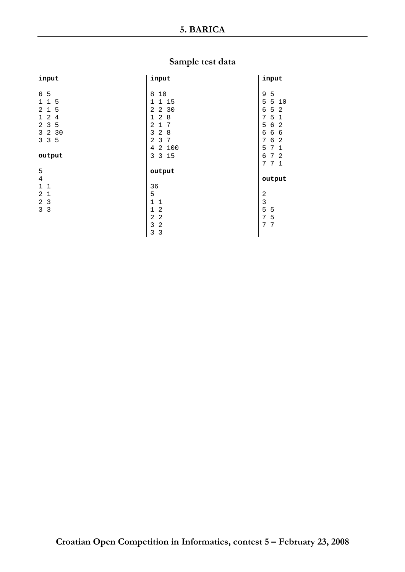| input                               | input                            | input                  |
|-------------------------------------|----------------------------------|------------------------|
|                                     |                                  |                        |
| 6<br>5                              | 8<br>10                          | 9<br>5                 |
| $\mathbf{1}$<br>5<br>1              | 1 15<br>1                        | 5<br>5<br>10           |
| $\mathbf{1}$<br>5<br>$\mathfrak{D}$ | 2<br>2<br>30                     | 5<br>6<br>2            |
| 2<br>4<br>$\mathbf{1}$              | $\mathbf{1}$<br>2<br>8           | 5<br>7<br>1            |
| 3<br>5<br>2                         | $\overline{2}$<br>7<br>1         | 6<br>5<br>2            |
| 3<br>2<br>30                        | 3<br>2<br>8                      | 6<br>6<br>6            |
| 5<br>3<br>3                         | $\overline{a}$<br>3<br>7         | 7<br>2<br>6            |
|                                     | 100<br>4<br>$\overline{a}$       | 7<br>5<br>1            |
| output                              | 3<br>3 15                        | 7<br>- 2<br>6          |
|                                     |                                  | 7<br>7<br>$\mathbf{1}$ |
| 5                                   | output                           |                        |
| 4                                   |                                  | output                 |
| $\mathbf{1}$<br>$\mathbf{1}$        | 36                               |                        |
| 2<br>$\mathbf{1}$                   | 5                                | 2                      |
| 2<br>3                              | $\mathbf 1$<br>$\mathbf{1}$      | 3                      |
| $\mathsf{3}$<br>3                   | $\mathbf{1}$<br>2                | 5<br>5                 |
|                                     | $\overline{a}$<br>$\overline{2}$ | 5<br>7                 |
|                                     | 3<br>$\overline{2}$              | 7<br>7                 |
|                                     | 3<br>3                           |                        |
|                                     |                                  |                        |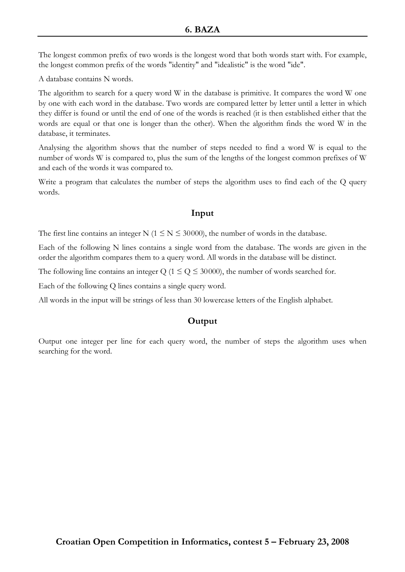The longest common prefix of two words is the longest word that both words start with. For example, the longest common prefix of the words "identity" and "idealistic" is the word "ide".

A database contains N words.

The algorithm to search for a query word W in the database is primitive. It compares the word W one by one with each word in the database. Two words are compared letter by letter until a letter in which they differ is found or until the end of one of the words is reached (it is then established either that the words are equal or that one is longer than the other). When the algorithm finds the word W in the database, it terminates.

Analysing the algorithm shows that the number of steps needed to find a word W is equal to the number of words W is compared to, plus the sum of the lengths of the longest common prefixes of W and each of the words it was compared to.

Write a program that calculates the number of steps the algorithm uses to find each of the Q query words.

## Input

The first line contains an integer N ( $1 \le N \le 30000$ ), the number of words in the database.

Each of the following N lines contains a single word from the database. The words are given in the order the algorithm compares them to a query word. All words in the database will be distinct.

The following line contains an integer Q ( $1 \le Q \le 30000$ ), the number of words searched for.

Each of the following Q lines contains a single query word.

All words in the input will be strings of less than 30 lowercase letters of the English alphabet.

# **Output**

Output one integer per line for each query word, the number of steps the algorithm uses when searching for the word.